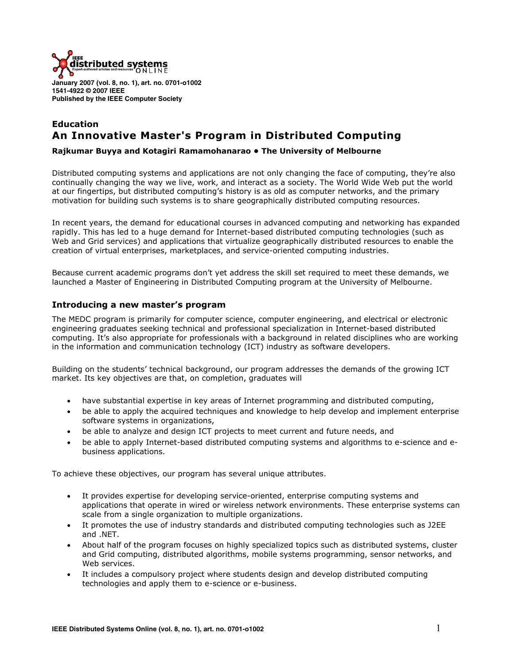

**January 2007 (vol. 8, no. 1), art. no. 0701-o1002 1541-4922 © 2007 IEEE Published by the IEEE Computer Society** 

# **Education An Innovative Master's Program in Distributed Computing**

# **Rajkumar Buyya and Kotagiri Ramamohanarao • The University of Melbourne**

Distributed computing systems and applications are not only changing the face of computing, they're also continually changing the way we live, work, and interact as a society. The World Wide Web put the world at our fingertips, but distributed computing's history is as old as computer networks, and the primary motivation for building such systems is to share geographically distributed computing resources.

In recent years, the demand for educational courses in advanced computing and networking has expanded rapidly. This has led to a huge demand for Internet-based distributed computing technologies (such as Web and Grid services) and applications that virtualize geographically distributed resources to enable the creation of virtual enterprises, marketplaces, and service-oriented computing industries.

Because current academic programs don't yet address the skill set required to meet these demands, we launched a Master of Engineering in Distributed Computing program at the University of Melbourne.

# **Introducing a new master's program**

The MEDC program is primarily for computer science, computer engineering, and electrical or electronic engineering graduates seeking technical and professional specialization in Internet-based distributed computing. It's also appropriate for professionals with a background in related disciplines who are working in the information and communication technology (ICT) industry as software developers.

Building on the students' technical background, our program addresses the demands of the growing ICT market. Its key objectives are that, on completion, graduates will

- have substantial expertise in key areas of Internet programming and distributed computing,
- be able to apply the acquired techniques and knowledge to help develop and implement enterprise software systems in organizations,
- be able to analyze and design ICT projects to meet current and future needs, and
- be able to apply Internet-based distributed computing systems and algorithms to e-science and ebusiness applications.

To achieve these objectives, our program has several unique attributes.

- It provides expertise for developing service-oriented, enterprise computing systems and applications that operate in wired or wireless network environments. These enterprise systems can scale from a single organization to multiple organizations.
- It promotes the use of industry standards and distributed computing technologies such as J2EE and .NET.
- About half of the program focuses on highly specialized topics such as distributed systems, cluster and Grid computing, distributed algorithms, mobile systems programming, sensor networks, and Web services.
- It includes a compulsory project where students design and develop distributed computing technologies and apply them to e-science or e-business.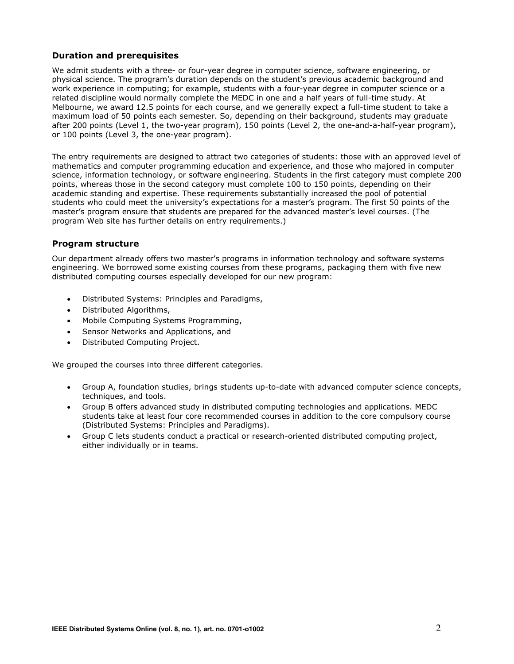# **Duration and prerequisites**

We admit students with a three- or four-year degree in computer science, software engineering, or physical science. The program's duration depends on the student's previous academic background and work experience in computing; for example, students with a four-year degree in computer science or a related discipline would normally complete the MEDC in one and a half years of full-time study. At Melbourne, we award 12.5 points for each course, and we generally expect a full-time student to take a maximum load of 50 points each semester. So, depending on their background, students may graduate after 200 points (Level 1, the two-year program), 150 points (Level 2, the one-and-a-half-year program), or 100 points (Level 3, the one-year program).

The entry requirements are designed to attract two categories of students: those with an approved level of mathematics and computer programming education and experience, and those who majored in computer science, information technology, or software engineering. Students in the first category must complete 200 points, whereas those in the second category must complete 100 to 150 points, depending on their academic standing and expertise. These requirements substantially increased the pool of potential students who could meet the university's expectations for a master's program. The first 50 points of the master's program ensure that students are prepared for the advanced master's level courses. (The program Web site has further details on entry requirements.)

# **Program structure**

Our department already offers two master's programs in information technology and software systems engineering. We borrowed some existing courses from these programs, packaging them with five new distributed computing courses especially developed for our new program:

- Distributed Systems: Principles and Paradigms,
- Distributed Algorithms,
- Mobile Computing Systems Programming,
- Sensor Networks and Applications, and
- Distributed Computing Project.

We grouped the courses into three different categories.

- Group A, foundation studies, brings students up-to-date with advanced computer science concepts, techniques, and tools.
- Group B offers advanced study in distributed computing technologies and applications. MEDC students take at least four core recommended courses in addition to the core compulsory course (Distributed Systems: Principles and Paradigms).
- Group C lets students conduct a practical or research-oriented distributed computing project, either individually or in teams.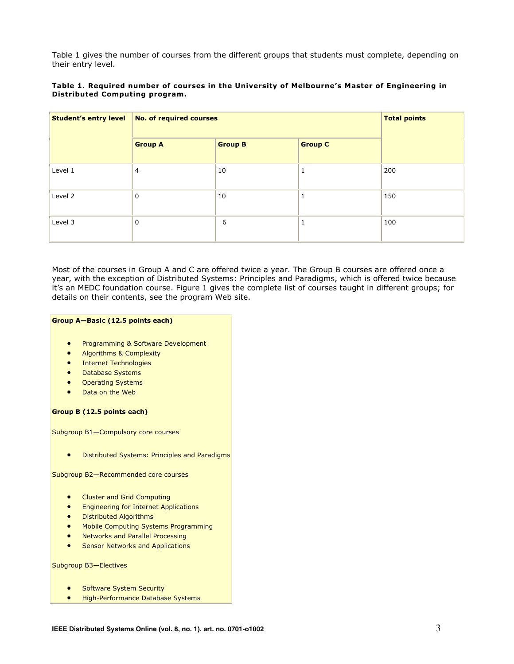Table 1 gives the number of courses from the different groups that students must complete, depending on their entry level.

#### **Table 1. Required number of courses in the University of Melbourne's Master of Engineering in Distributed Computing program.**

| <b>Student's entry level</b> | <b>No. of required courses</b> |                |                | <b>Total points</b> |
|------------------------------|--------------------------------|----------------|----------------|---------------------|
|                              | <b>Group A</b>                 | <b>Group B</b> | <b>Group C</b> |                     |
| Level 1                      | $\overline{4}$                 | 10             | 1              | 200                 |
| Level 2                      | 0                              | 10             | м              | 150                 |
| Level 3                      | 0                              | 6              | л              | 100                 |

Most of the courses in Group A and C are offered twice a year. The Group B courses are offered once a year, with the exception of Distributed Systems: Principles and Paradigms, which is offered twice because it's an MEDC foundation course. Figure 1 gives the complete list of courses taught in different groups; for details on their contents, see the program Web site.

### **Group A—Basic (12.5 points each)**

- **•** Programming & Software Development
- x Algorithms & Complexity
- **Internet Technologies**
- Database Systems
- **Operating Systems**
- Data on the Web

### **Group B (12.5 points each)**

Subgroup B1—Compulsory core courses

**•** Distributed Systems: Principles and Paradigms

Subgroup B2—Recommended core courses

- Cluster and Grid Computing
- Engineering for Internet Applications
- Distributed Algorithms
- Mobile Computing Systems Programming
- x Networks and Parallel Processing
- **•** Sensor Networks and Applications

Subgroup B3—Electives

- Software System Security
- **•** High-Performance Database Systems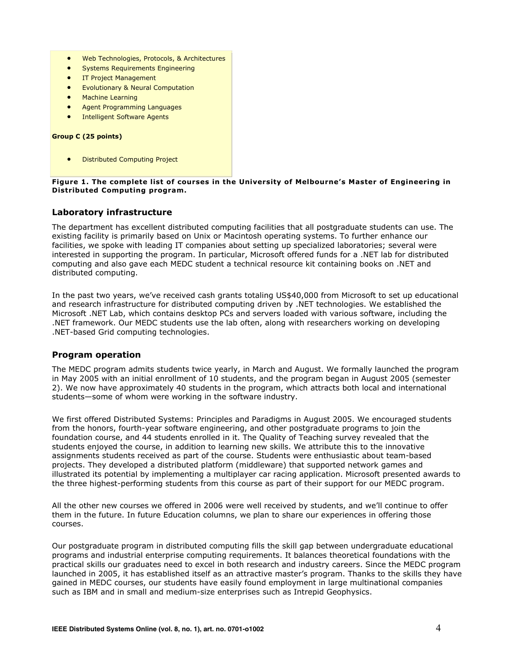- Web Technologies, Protocols, & Architectures
- Systems Requirements Engineering
- IT Project Management
- Evolutionary & Neural Computation
- Machine Learning
- Agent Programming Languages
- **Intelligent Software Agents**

#### **Group C (25 points)**

**Distributed Computing Project** 

### **Figure 1. The complete list of courses in the University of Melbourne's Master of Engineering in Distributed Computing program.**

# **Laboratory infrastructure**

The department has excellent distributed computing facilities that all postgraduate students can use. The existing facility is primarily based on Unix or Macintosh operating systems. To further enhance our facilities, we spoke with leading IT companies about setting up specialized laboratories; several were interested in supporting the program. In particular, Microsoft offered funds for a .NET lab for distributed computing and also gave each MEDC student a technical resource kit containing books on .NET and distributed computing.

In the past two years, we've received cash grants totaling US\$40,000 from Microsoft to set up educational and research infrastructure for distributed computing driven by .NET technologies. We established the Microsoft .NET Lab, which contains desktop PCs and servers loaded with various software, including the .NET framework. Our MEDC students use the lab often, along with researchers working on developing .NET-based Grid computing technologies.

## **Program operation**

The MEDC program admits students twice yearly, in March and August. We formally launched the program in May 2005 with an initial enrollment of 10 students, and the program began in August 2005 (semester 2). We now have approximately 40 students in the program, which attracts both local and international students—some of whom were working in the software industry.

We first offered Distributed Systems: Principles and Paradigms in August 2005. We encouraged students from the honors, fourth-year software engineering, and other postgraduate programs to join the foundation course, and 44 students enrolled in it. The Quality of Teaching survey revealed that the students enjoyed the course, in addition to learning new skills. We attribute this to the innovative assignments students received as part of the course. Students were enthusiastic about team-based projects. They developed a distributed platform (middleware) that supported network games and illustrated its potential by implementing a multiplayer car racing application. Microsoft presented awards to the three highest-performing students from this course as part of their support for our MEDC program.

All the other new courses we offered in 2006 were well received by students, and we'll continue to offer them in the future. In future Education columns, we plan to share our experiences in offering those courses.

Our postgraduate program in distributed computing fills the skill gap between undergraduate educational programs and industrial enterprise computing requirements. It balances theoretical foundations with the practical skills our graduates need to excel in both research and industry careers. Since the MEDC program launched in 2005, it has established itself as an attractive master's program. Thanks to the skills they have gained in MEDC courses, our students have easily found employment in large multinational companies such as IBM and in small and medium-size enterprises such as Intrepid Geophysics.